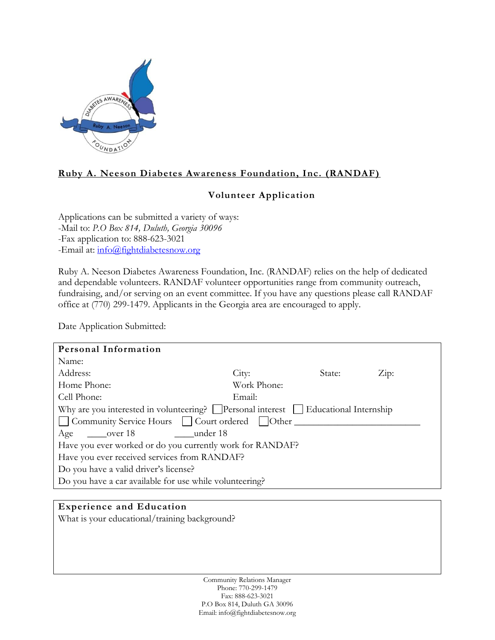

# **Ruby A. Neeson Diabetes Awareness Foundation, Inc. (RANDAF)**

## **Volunteer Application**

Applications can be submitted a variety of ways: -Mail to: *P.O Box 814, Duluth, Georgia 30096* -Fax application to: 888-623-3021 -Email at: [info@fightdiabetesnow.org](mailto:info@fightdiabetesnow.org)

Ruby A. Neeson Diabetes Awareness Foundation, Inc. (RANDAF) relies on the help of dedicated and dependable volunteers. RANDAF volunteer opportunities range from community outreach, fundraising, and/or serving on an event committee. If you have any questions please call RANDAF office at (770) 299-1479. Applicants in the Georgia area are encouraged to apply.

Date Application Submitted:

| Personal Information                                                                           |             |        |                       |  |
|------------------------------------------------------------------------------------------------|-------------|--------|-----------------------|--|
| Name:                                                                                          |             |        |                       |  |
| Address:                                                                                       | City:       | State: | $\operatorname{Zip:}$ |  |
| Home Phone:                                                                                    | Work Phone: |        |                       |  |
| Cell Phone:                                                                                    | Email:      |        |                       |  |
| Why are you interested in volunteering? $\Box$ Personal interest $\Box$ Educational Internship |             |        |                       |  |
| □ Community Service Hours □ Court ordered □ Other                                              |             |        |                       |  |
| under 18<br>over 18<br>Age                                                                     |             |        |                       |  |
| Have you ever worked or do you currently work for RANDAF?                                      |             |        |                       |  |
| Have you ever received services from RANDAF?                                                   |             |        |                       |  |
| Do you have a valid driver's license?                                                          |             |        |                       |  |
| Do you have a car available for use while volunteering?                                        |             |        |                       |  |

### **Experience and Education**

What is your educational/training background?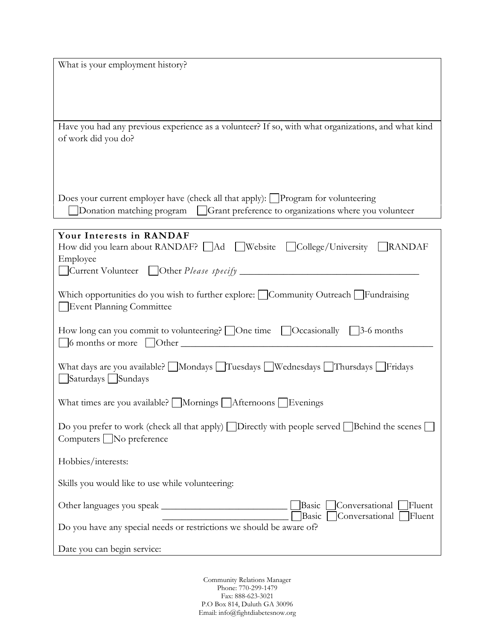What is your employment history?

Have you had any previous experience as a volunteer? If so, with what organizations, and what kind of work did you do?

Does your current employer have (check all that apply):  $\Box$ Program for volunteering

Donation matching program Grant preference to organizations where you volunteer

| Your Interests in RANDAF                                                                                                                       |  |  |  |  |
|------------------------------------------------------------------------------------------------------------------------------------------------|--|--|--|--|
| How did you learn about RANDAF? Ad Website College/University RANDAF                                                                           |  |  |  |  |
| Employee                                                                                                                                       |  |  |  |  |
|                                                                                                                                                |  |  |  |  |
| Which opportunities do you wish to further explore: Community Outreach Fundraising<br>Event Planning Committee                                 |  |  |  |  |
| How long can you commit to volunteering? $\Box$ One time $\Box$ Occasionally $\Box$ 3-6 months<br>$\bigcirc$ 6 months or more $\bigcirc$ Other |  |  |  |  |
| What days are you available? Mondays Tuesdays Nuednesdays Thursdays Fridays<br>Saturdays Sundays                                               |  |  |  |  |
| What times are you available? $\Box$ Mornings $\Box$ Afternoons $\Box$ Evenings                                                                |  |  |  |  |
| Do you prefer to work (check all that apply) Directly with people served Behind the scenes<br>$Computers \blacksquare$ No preference           |  |  |  |  |
| Hobbies/interests:                                                                                                                             |  |  |  |  |
| Skills you would like to use while volunteering:                                                                                               |  |  |  |  |
| Basic Conversational Fluent<br>Conversational [<br>Fluent<br>Basic                                                                             |  |  |  |  |
| Do you have any special needs or restrictions we should be aware of?                                                                           |  |  |  |  |
| Date you can begin service:                                                                                                                    |  |  |  |  |

Community Relations Manager Phone: 770-299-1479 Fax: 888-623-3021 P.O Box 814, Duluth GA 30096 Email: info@fightdiabetesnow.org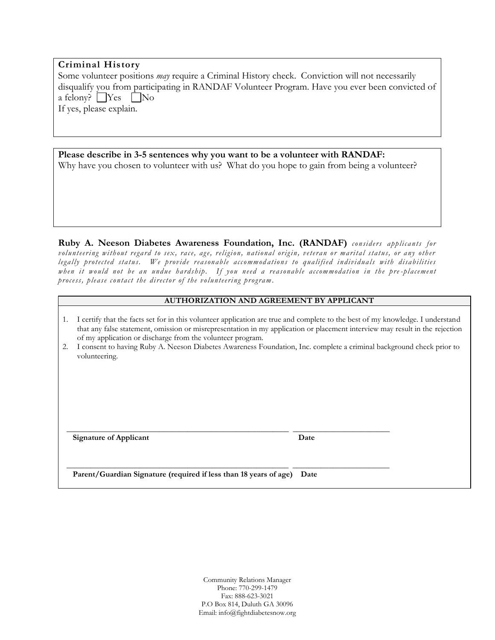| <b>Criminal History</b>                                                                               |
|-------------------------------------------------------------------------------------------------------|
| Some volunteer positions <i>may</i> require a Criminal History check. Conviction will not necessarily |
| disqualify you from participating in RANDAF Volunteer Program. Have you ever been convicted of        |
| a felony? $Yes$ No                                                                                    |
| If yes, please explain.                                                                               |
|                                                                                                       |
|                                                                                                       |

| Please describe in 3-5 sentences why you want to be a volunteer with RANDAF: |                                                                                            |
|------------------------------------------------------------------------------|--------------------------------------------------------------------------------------------|
|                                                                              | Why have you chosen to volunteer with us? What do you hope to gain from being a volunteer? |

**Ruby A. Neeson Diabetes Awareness Foundation, Inc. (RANDAF)** *considers applicants for volunteering without regard to sex, race, age, religion, national origin, veteran or marital status, or any other legally protected status. We provide reasonable accommod ation s to qualified individuals with disabilities when it would not be an undue hardship. If you need a reasonable accommodation in the pre -placement process, please contact the director of the volunteering program.*

### **AUTHORIZATION AND AGREEMENT BY APPLICANT**

| 1. | I certify that the facts set for in this volunteer application are true and complete to the best of my knowledge. I understand<br>that any false statement, omission or misrepresentation in my application or placement interview may result in the rejection<br>of my application or discharge from the volunteer program. |      |  |  |
|----|------------------------------------------------------------------------------------------------------------------------------------------------------------------------------------------------------------------------------------------------------------------------------------------------------------------------------|------|--|--|
| 2. | I consent to having Ruby A. Neeson Diabetes Awareness Foundation, Inc. complete a criminal background check prior to<br>volunteering.                                                                                                                                                                                        |      |  |  |
|    |                                                                                                                                                                                                                                                                                                                              |      |  |  |
|    |                                                                                                                                                                                                                                                                                                                              |      |  |  |
|    | Signature of Applicant                                                                                                                                                                                                                                                                                                       | Date |  |  |
|    |                                                                                                                                                                                                                                                                                                                              |      |  |  |
|    | Parent/Guardian Signature (required if less than 18 years of age) Date                                                                                                                                                                                                                                                       |      |  |  |

Community Relations Manager Phone: 770-299-1479 Fax: 888-623-3021 P.O Box 814, Duluth GA 30096 Email: info@fightdiabetesnow.org